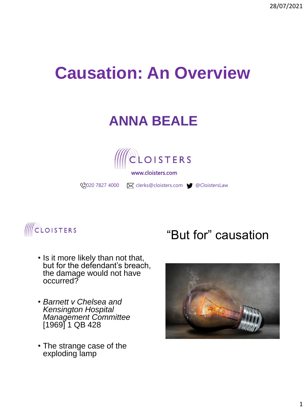28/07/2021

# **Causation: An Overview**

# **ANNA BEALE**



www.cloisters.com

**2020 7827 4000 M** clerks@cloisters.com CloistersLaw



- Is it more likely than not that, but for the defendant's breach, the damage would not have occurred?
- *Barnett v Chelsea and Kensington Hospital Management Committee*  [1969] 1 QB 428
- The strange case of the exploding lamp

#### "But for" causation

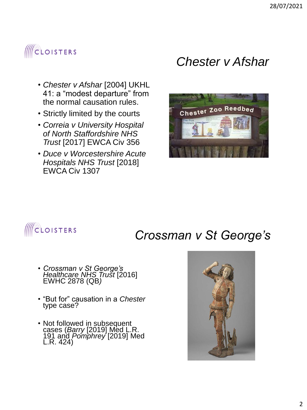#### **CLOISTERS**

- *Chester v Afshar* [2004] UKHL 41: a "modest departure" from the normal causation rules.
- Strictly limited by the courts
- *Correia v University Hospital of North Staffordshire NHS Trust* [2017] EWCA Civ 356
- *Duce v Worcestershire Acute Hospitals NHS Trust* [2018] EWCA Civ 1307

#### *Chester v Afshar*



## **IICLOISTERS**

#### *Crossman v St George's*

- *Crossman v St George's Healthcare NHS Trust* [2016] EWHC 2878 (QB*)*
- "But for" causation in a *Chester* type case?
- Not followed in subsequent cases (*Barry* [2019] Med L.R. 191 and *Pomphrey* [2019] Med L.R. 424)

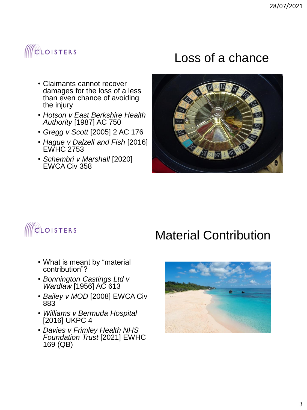### **ACLOISTERS**

- Claimants cannot recover damages for the loss of a less than even chance of avoiding the injury
- *Hotson v East Berkshire Health Authority* [1987] AC 750
- *Gregg v Scott* [2005] 2 AC 176
- *Hague v Dalzell and Fish* [2016] EWHC 2753
- *Schembri v Marshall* [2020] EWCA Civ 358

#### Loss of a chance





#### Material Contribution

- What is meant by "material contribution"?
- *Bonnington Castings Ltd v Wardlaw* [1956] AC 613
- *Bailey v MOD* [2008] EWCA Civ 883
- *Williams v Bermuda Hospital*  [2016] UKPC 4
- *Davies v Frimley Health NHS Foundation Trust* [2021] EWHC 169 (QB)